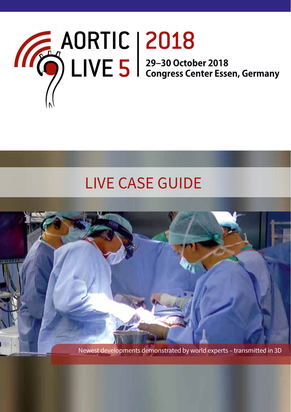

# LIVE CASE GUIDE

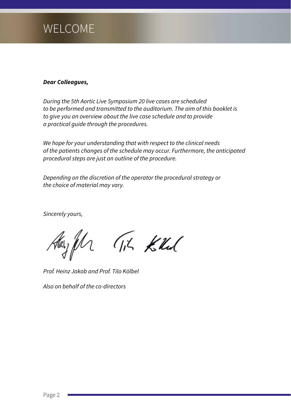# WELCOME

#### *Dear Colleagues,*

*During the 5th Aortic Live Symposium 20 live cases are scheduled to be performed and transmitted to the auditorium. The aim of this booklet is to give you an overview about the live case schedule and to provide a practical guide through the procedures.*

*We hope for your understanding that with respect to the clinical needs of the patients changes of the schedule may occur. Furthermore, the anticipated procedural steps are just an outline of the procedure.* 

*Depending on the discretion of the operator the procedural strategy or the choice of material may vary.*

*Sincerely yours,*

Hayfur Tik Kill

*Prof. Heinz Jakob and Prof. Tilo Kölbel*

*Also on behalf of the co-directors*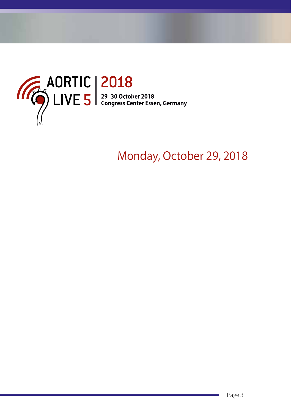

# Monday, October 29, 2018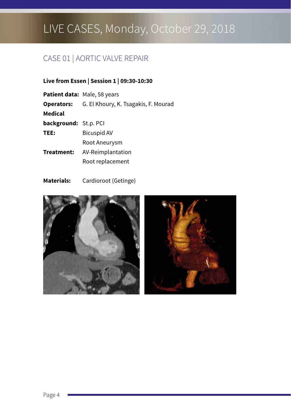## CASE 01 | AORTIC VALVE REPAIR

#### **Live from Essen | Session 1 | 09:30-10:30**

|                       | <b>Patient data: Male, 58 years</b>                    |
|-----------------------|--------------------------------------------------------|
|                       | <b>Operators:</b> G. El Khoury, K. Tsagakis, F. Mourad |
| Medical               |                                                        |
| background: St.p. PCI |                                                        |
| TEE:                  | <b>Bicuspid AV</b>                                     |
|                       | Root Aneurysm                                          |
| Treatment:            | AV-Reimplantation                                      |
|                       | Root replacement                                       |
|                       |                                                        |

### **Materials:** Cardioroot (Getinge)

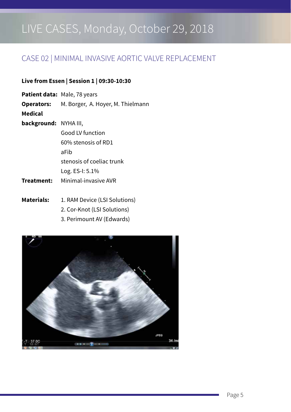### CASE 02 | MINIMAL INVASIVE AORTIC VALVE REPLACEMENT

#### **Live from Essen | Session 1 | 09:30-10:30**

- **Operators:** M. Borger, A. Hoyer, M. Thielmann
- **Medical**

- **background:** NYHA III, Good LV function 60% stenosis of RD1 aFib stenosis of coeliac trunk Log. ES-I: 5.1%
- **Treatment:** Minimal-invasive AVR
- Materials: 1. RAM Device (LSI Solutions)
	- 2. Cor-Knot (LSI Solutions)
	- 3. Perimount AV (Edwards)

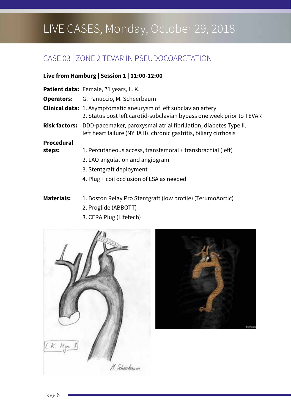## CASE 03 | ZONE 2 TEVAR IN PSEUDOCOARCTATION

#### **Live from Hamburg | Session 1 | 11:00-12:00**

|            | Patient data: Female, 71 years, L. K.                                                                                                                       |
|------------|-------------------------------------------------------------------------------------------------------------------------------------------------------------|
|            | <b>Operators:</b> G. Panuccio, M. Scheerbaum                                                                                                                |
|            | <b>Clinical data:</b> 1. Asymptomatic aneurysm of left subclavian artery<br>2. Status post left carotid-subclavian bypass one week prior to TEVAR           |
|            | <b>Risk factors:</b> DDD-pacemaker, paroxysmal atrial fibrillation, diabetes Type II,<br>left heart failure (NYHA II), chronic gastritis, biliary cirrhosis |
| Procedural |                                                                                                                                                             |
| steps:     | 1. Percutaneous access, transfemoral + transbrachial (left)                                                                                                 |
|            | 2. LAO angulation and angiogram                                                                                                                             |
|            | 3. Stentgraft deployment                                                                                                                                    |
|            | 4. Plug + coil occlusion of LSA as needed                                                                                                                   |
|            |                                                                                                                                                             |

**Materials:** 1. Boston Relay Pro Stentgraft (low profile) (TerumoAortic)

- 2. Proglide (ABBOTT)
- 3. CERA Plug (Lifetech)



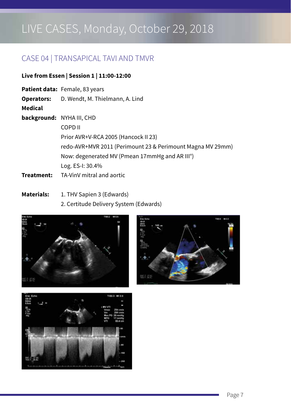### CASE 04 | TRANSAPICAL TAVI AND TMVR

#### **Live from Essen | Session 1 | 11:00-12:00**

**Patient data:** Female, 83 years **Operators:** D. Wendt, M. Thielmann, A. Lind **Medical background:** NYHA III, CHD COPD II Prior AVR+V-RCA 2005 (Hancock II 23) redo-AVR+MVR 2011 (Perimount 23 & Perimount Magna MV 29mm) Now: degenerated MV (Pmean 17mmHg and AR III°) Log. ES-I: 30.4% **Treatment:** TA-VinV mitral and aortic

Materials: 1. THV Sapien 3 (Edwards) 2. Certitude Delivery System (Edwards)





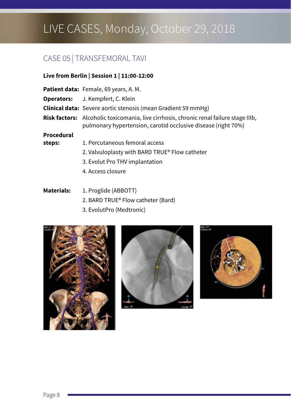### CASE 05 | TRANSFEMORAL TAVI

#### **Live from Berlin | Session 1 | 11:00-12:00**

|  | Patient data: Female, 69 years, A.M. |
|--|--------------------------------------|
|--|--------------------------------------|

- **Operators:** J. Kempfert, C. Klein
- **Clinical data:** Severe aortic stenosis (mean Gradient 59 mmHg)

**Risk factors:** Alcoholic toxicomania, live cirrhosis, chronic renal failure stage IIIb, pulmonary hypertension, carotid occlusive disease (right 70%)

#### **Procedural**

- **steps:** 1. Percutaneous femoral access
	- 2. Valvuloplasty with BARD TRUE® Flow catheter
	- 3. Evolut Pro THV implantation
	- 4. Access closure

#### **Materials:** 1. Proglide (ABBOTT)

- 2. BARD TRUE® Flow catheter (Bard)
- 3. EvolutPro (Medtronic)





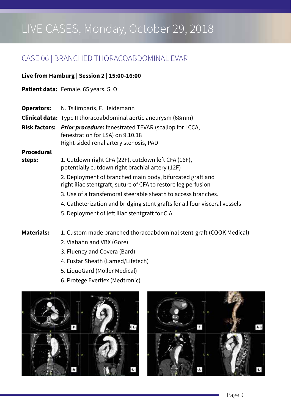### CASE 06 | BRANCHED THORACOABDOMINAL EVAR

#### **Live from Hamburg | Session 2 | 15:00-16:00**

**Patient data:** Female, 65 years, S. O.

| <b>Operators:</b> | N. Tsilimparis, F. Heidemann |
|-------------------|------------------------------|
|-------------------|------------------------------|

**Clinical data:** Type II thoracoabdominal aortic aneurysm (68mm)

**Risk factors:** *Prior procedure:* fenestrated TEVAR (scallop for LCCA, fenestration for LSA) on 9.10.18 Right-sided renal artery stenosis, PAD

#### **Procedural**

- **steps:** 1. Cutdown right CFA (22F), cutdown left CFA (16F), potentially cutdown right brachial artery (12F)
	- 2. Deployment of branched main body, bifurcated graft and right iliac stentgraft, suture of CFA to restore leg perfusion
	- 3. Use of a transfemoral steerable sheath to access branches.
	- 4. Catheterization and bridging stent grafts for all four visceral vessels
	- 5. Deployment of left iliac stentgraft for CIA

**Materials:** 1. Custom made branched thoracoabdominal stent-graft (COOK Medical)

- 2. Viabahn and VBX (Gore)
- 3. Fluency and Covera (Bard)
- 4. Fustar Sheath (Lamed/Lifetech)
- 5. LiquoGard (Möller Medical)
- 6. Protege Everflex (Medtronic)



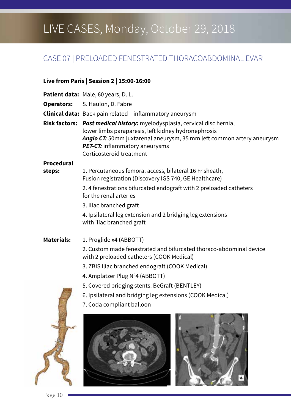### CASE 07 | PRELOADED FENESTRATED THORACOABDOMINAL EVAR

#### **Live from Paris | Session 2 | 15:00-16:00**

|                   | <b>Patient data:</b> Male, 60 years, D. L.                                                                                                                                                                                                                                            |
|-------------------|---------------------------------------------------------------------------------------------------------------------------------------------------------------------------------------------------------------------------------------------------------------------------------------|
|                   | <b>Operators:</b> S. Haulon, D. Fabre                                                                                                                                                                                                                                                 |
|                   | <b>Clinical data:</b> Back pain related – inflammatory aneurysm                                                                                                                                                                                                                       |
|                   | <b>Risk factors:</b> Past medical history: myelodysplasia, cervical disc hernia,<br>lower limbs paraparesis, left kidney hydronephrosis<br>Angio CT: 50mm juxtarenal aneurysm, 35 mm left common artery aneurysm<br><b>PET-CT:</b> inflammatory aneurysms<br>Corticosteroid treatment |
| Procedural        |                                                                                                                                                                                                                                                                                       |
| steps:            | 1. Percutaneous femoral access, bilateral 16 Fr sheath,<br>Fusion registration (Discovery IGS 740, GE Healthcare)                                                                                                                                                                     |
|                   | 2.4 fenestrations bifurcated endograft with 2 preloaded catheters<br>for the renal arteries                                                                                                                                                                                           |
|                   | 3. Iliac branched graft                                                                                                                                                                                                                                                               |
|                   | 4. Ipsilateral leg extension and 2 bridging leg extensions<br>with iliac branched graft                                                                                                                                                                                               |
| <b>Materials:</b> | 1. Proglide x4 (ABBOTT)                                                                                                                                                                                                                                                               |
|                   | 2. Custom made fenestrated and bifurcated thoraco-abdominal device                                                                                                                                                                                                                    |
|                   |                                                                                                                                                                                                                                                                                       |

with 2 preloaded catheters (COOK Medical)

- 3. ZBIS Iliac branched endograft (COOK Medical)
- 4. Amplatzer Plug N°4 (ABBOTT)
- 5. Covered bridging stents: BeGraft (BENTLEY)
- 6. Ipsilateral and bridging leg extensions (COOK Medical)
- 7. Coda compliant balloon





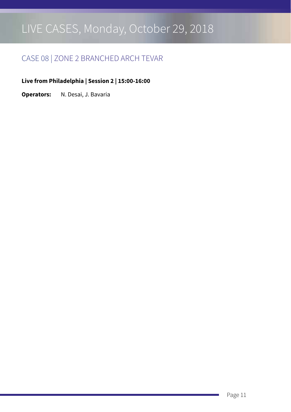### CASE 08 | ZONE 2 BRANCHED ARCH TEVAR

**Live from Philadelphia | Session 2 | 15:00-16:00**

**Operators:** N. Desai, J. Bavaria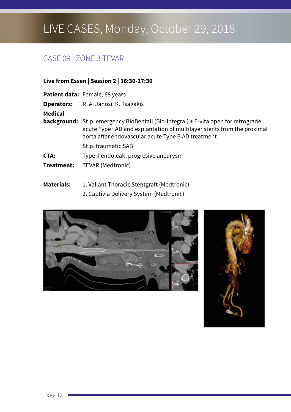# CASE 09 | ZONE 3 TEVAR

#### **Live from Essen | Session 2 | 16:30-17:30**

|            | Patient data: Female, 68 years                                                                                                                                                                                             |
|------------|----------------------------------------------------------------------------------------------------------------------------------------------------------------------------------------------------------------------------|
|            | <b>Operators:</b> R. A. Jánosi, K. Tsagakis                                                                                                                                                                                |
| Medical    |                                                                                                                                                                                                                            |
|            | <b>background:</b> St.p. emergency BioBentall (Bio-Integral) + E-vita open for retrograde<br>acute Type I AD and explantation of multilayer stents from the proximal<br>aorta after endovascular acute Type B AD treatment |
|            | St.p. traumatic SAB                                                                                                                                                                                                        |
| CTA:       | Type II endoleak, progresive aneurysm                                                                                                                                                                                      |
| Treatment: | TEVAR (Medtronic)                                                                                                                                                                                                          |

**Materials:** 1. Valiant Thoracic Stentgraft (Medtronic)

2. Captivia Delivery System (Medtronic)



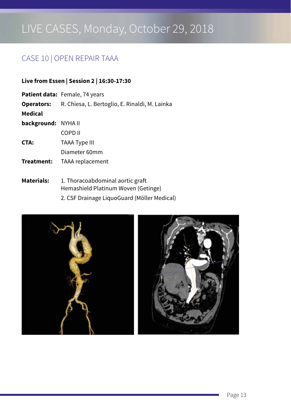### CASE 10 | OPEN REPAIR TAAA

#### **Live from Essen | Session 2 | 16:30-17:30**

|                     | <b>Patient data:</b> Female, 74 years                            |
|---------------------|------------------------------------------------------------------|
|                     | <b>Operators:</b> R. Chiesa, L. Bertoglio, E. Rinaldi, M. Lainka |
| Medical             |                                                                  |
| background: NYHA II |                                                                  |
|                     | COPD II                                                          |
| CTA:                | <b>TAAA Type III</b>                                             |
|                     | Diameter 60mm                                                    |
| Treatment:          | TAAA replacement                                                 |
|                     |                                                                  |

Materials: 1. Thoracoabdominal aortic graft Hemashield Platinum Woven (Getinge) 2. CSF Drainage LiquoGuard (Möller Medical)

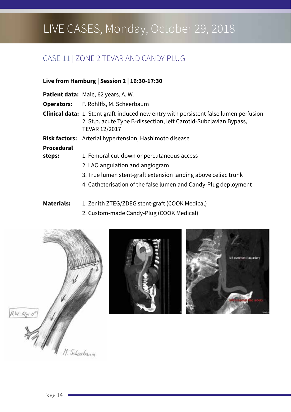## CASE 11 | ZONE 2 TEVAR AND CANDY-PLUG

#### **Live from Hamburg | Session 2 | 16:30-17:30**

**Patient data:** Male, 62 years, A. W. **Operators:** F. Rohlffs, M. Scheerbaum **Clinical data:** 1. Stent graft-induced new entry with persistent false lumen perfusion 2. St.p. acute Type B-dissection, left Carotid-Subclavian Bypass, TEVAR 12/2017 **Risk factors:** Arterial hypertension, Hashimoto disease **Procedural**  steps: 1. Femoral cut-down or percutaneous access 2. LAO angulation and angiogram 3. True lumen stent-graft extension landing above celiac trunk 4. Catheterisation of the false lumen and Candy-Plug deployment

**Materials:** 1. Zenith ZTEG/ZDEG stent-graft (COOK Medical)

2. Custom-made Candy-Plug (COOK Medical)





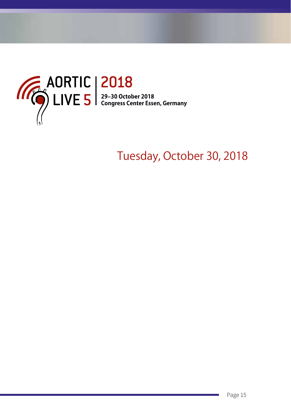

# Tuesday, October 30, 2018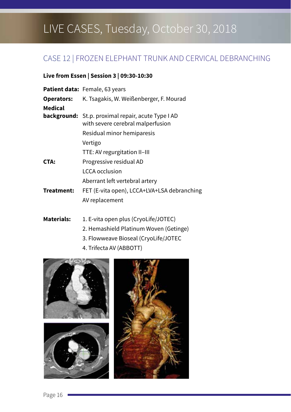### CASE 12 | FROZEN ELEPHANT TRUNK AND CERVICAL DEBRANCHING

#### **Live from Essen | Session 3 | 09:30-10:30**

|                   | Patient data: Female, 63 years                                                                 |
|-------------------|------------------------------------------------------------------------------------------------|
| <b>Operators:</b> | K. Tsagakis, W. Weißenberger, F. Mourad                                                        |
| Medical           |                                                                                                |
|                   | <b>background:</b> St.p. proximal repair, acute Type I AD<br>with severe cerebral malperfusion |
|                   | Residual minor hemiparesis                                                                     |
|                   | Vertigo                                                                                        |
|                   | TTE: AV regurgitation II-III                                                                   |
| CTA:              | Progressive residual AD                                                                        |
|                   | LCCA occlusion                                                                                 |
|                   | Aberrant left vertebral artery                                                                 |
| Treatment:        | FET (E-vita open), LCCA+LVA+LSA debranching                                                    |
|                   | AV replacement                                                                                 |
|                   |                                                                                                |

**Materials:** 1. E-vita open plus (CryoLife/JOTEC)

- 2. Hemashield Platinum Woven (Getinge)
- 3. Flowweave Bioseal (CryoLife/JOTEC
- 4. Trifecta AV (ABBOTT)

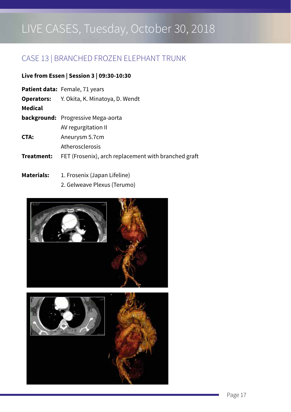### CASE 13 | BRANCHED FROZEN ELEPHANT TRUNK

#### **Live from Essen | Session 3 | 09:30-10:30**

|            | <b>Patient data: Female, 71 years</b>                |
|------------|------------------------------------------------------|
| Operators: | Y. Okita, K. Minatoya, D. Wendt                      |
| Medical    |                                                      |
|            | <b>background:</b> Progressive Mega-aorta            |
|            | AV regurgitation II                                  |
| CTA:       | Aneurysm 5.7cm                                       |
|            | Atherosclerosis                                      |
| Treatment: | FET (Frosenix), arch replacement with branched graft |
|            |                                                      |

### Materials: 1. Frosenix (Japan Lifeline) 2. Gelweave Plexus (Terumo)

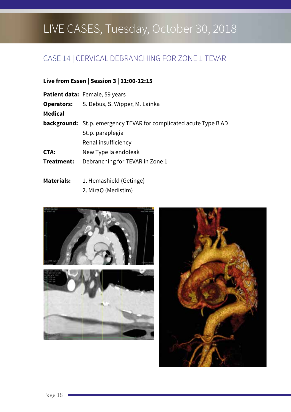### CASE 14 | CERVICAL DEBRANCHING FOR ZONE 1 TEVAR

#### **Live from Essen | Session 3 | 11:00-12:15**

|                   | <b>Patient data: Female, 59 years</b>                                    |
|-------------------|--------------------------------------------------------------------------|
| <b>Operators:</b> | S. Debus, S. Wipper, M. Lainka                                           |
| Medical           |                                                                          |
|                   | <b>background:</b> St.p. emergency TEVAR for complicated acute Type B AD |
|                   | St.p. paraplegia                                                         |
|                   | Renal insufficiency                                                      |
| CTA:              | New Type Ia endoleak                                                     |
| Treatment:        | Debranching for TEVAR in Zone 1                                          |
|                   |                                                                          |

Materials: 1. Hemashield (Getinge) 2. MiraQ (Medistim)



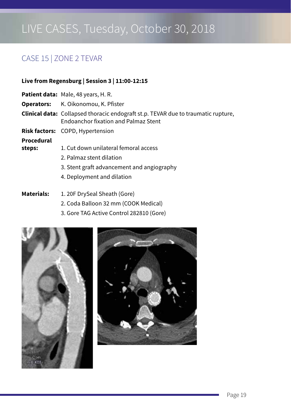### CASE 15 | ZONE 2 TEVAR

#### **Live from Regensburg | Session 3 | 11:00-12:15**

- **Patient data:** Male, 48 years, H. R.
- **Operators:** K. Oikonomou, K. Pfister
- **Clinical data:**Collapsed thoracic endograft st.p. TEVAR due to traumatic rupture, Endoanchor fixation and Palmaz Stent
- **Risk factors:** COPD, Hypertension

#### **Procedural**

- **steps:** 1. Cut down unilateral femoral access
	- 2. Palmaz stent dilation
	- 3. Stent graft advancement and angiography
	- 4. Deployment and dilation
- **Materials:** 1. 20F DrySeal Sheath (Gore)
	- 2. Coda Balloon 32 mm (COOK Medical)
	- 3. Gore TAG Active Control 282810 (Gore)



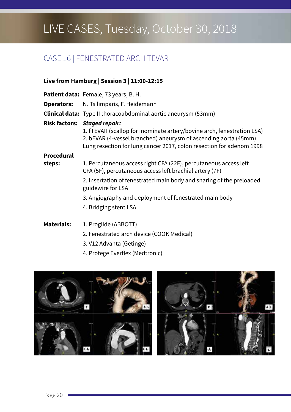### CASE 16 | FENESTRATED ARCH TEVAR

### **Live from Hamburg | Session 3 | 11:00-12:15**

|                   | <b>Patient data:</b> Female, 73 years, B. H.                                                                                                                                                                                                      |
|-------------------|---------------------------------------------------------------------------------------------------------------------------------------------------------------------------------------------------------------------------------------------------|
| <b>Operators:</b> | N. Tsilimparis, F. Heidemann                                                                                                                                                                                                                      |
|                   | <b>Clinical data:</b> Type II thoracoabdominal aortic aneurysm (53mm)                                                                                                                                                                             |
|                   | Risk factors: Staged repair:<br>1. fTEVAR (scallop for inominate artery/bovine arch, fenestration LSA)<br>2. bEVAR (4-vessel branched) aneurysm of ascending aorta (45mm)<br>Lung resection for lung cancer 2017, colon resection for adenom 1998 |
| Procedural        |                                                                                                                                                                                                                                                   |
| steps:            | 1. Percutaneous access right CFA (22F), percutaneous access left<br>CFA (5F), percutaneous access left brachial artery (7F)                                                                                                                       |
|                   | 2. Insertation of fenestrated main body and snaring of the preloaded<br>guidewire for LSA                                                                                                                                                         |
|                   | 3. Angiography and deployment of fenestrated main body                                                                                                                                                                                            |
|                   | 4. Bridging stent LSA                                                                                                                                                                                                                             |
| <b>Materials:</b> | 1. Proglide (ABBOTT)                                                                                                                                                                                                                              |
|                   | 2. Fenestrated arch device (COOK Medical)                                                                                                                                                                                                         |

- 3. V12 Advanta (Getinge)
- 4. Protege Everflex (Medtronic)

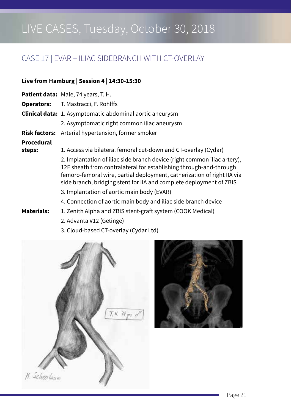### CASE 17 | EVAR + ILIAC SIDEBRANCH WITH CT-OVERLAY

#### **Live from Hamburg | Session 4 | 14:30-15:30**

- **Patient data:** Male, 74 years, T. H.
- **Operators:** T. Mastracci, F. Rohlffs
- **Clinical data:** 1. Asymptomatic abdominal aortic aneurysm
	- 2. Asymptomatic right common iliac aneurysm
- **Risk factors:** Arterial hypertension, former smoker

#### **Procedural**

**steps:** 1. Access via bilateral femoral cut-down and CT-overlay (Cydar)

2. Implantation of iliac side branch device (right common iliac artery), 12F sheath from contralateral for establishing through-and-through femoro-femoral wire, partial deployment, catherization of right IIA via side branch, bridging stent for IIA and complete deployment of ZBIS

- 3. Implantation of aortic main body (EVAR)
- 4. Connection of aortic main body and iliac side branch device
- **Materials:** 1. Zenith Alpha and ZBIS stent-graft system (COOK Medical)
	- 2. Advanta V12 (Getinge)
	- 3. Cloud-based CT-overlay (Cydar Ltd)



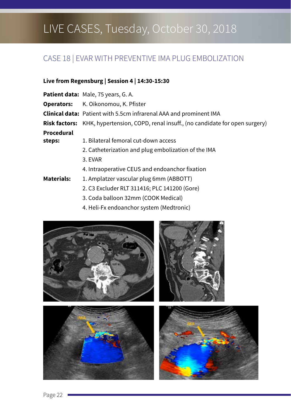### CASE 18 | EVAR WITH PREVENTIVE IMA PLUG EMBOLIZATION

#### **Live from Regensburg | Session 4 | 14:30-15:30**

|            | <b>Patient data: Male, 75 years, G. A.</b>                                                   |
|------------|----------------------------------------------------------------------------------------------|
|            | <b>Operators:</b> K. Oikonomou, K. Pfister                                                   |
|            | <b>Clinical data:</b> Patient with 5.5cm infrarenal AAA and prominent IMA                    |
|            | <b>Risk factors:</b> KHK, hypertension, COPD, renal insuff., (no candidate for open surgery) |
| Procedural |                                                                                              |
| steps:     | 1. Bilateral femoral cut-down access                                                         |
|            | 2. Catheterization and plug embolization of the IMA                                          |
|            | 3. EVAR                                                                                      |
|            | 4. Intraoperative CEUS and endoanchor fixation                                               |

- **Materials:** 1. Amplatzer vascular plug 6mm (ABBOTT)
	- 2. C3 Excluder RLT 311416; PLC 141200 (Gore)
	- 3. Coda balloon 32mm (COOK Medical)
	- 4. Heli-Fx endoanchor system (Medtronic)

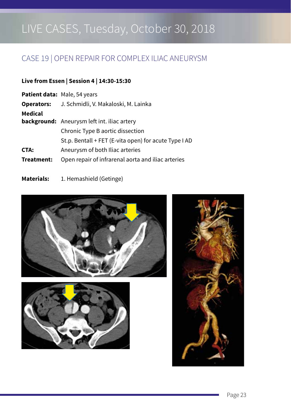## CASE 19 | OPEN REPAIR FOR COMPLEX ILIAC ANEURYSM

#### **Live from Essen | Session 4 | 14:30-15:30**

|                   | <b>Patient data: Male, 54 years</b>                   |  |  |  |  |
|-------------------|-------------------------------------------------------|--|--|--|--|
| <b>Operators:</b> | J. Schmidli, V. Makaloski, M. Lainka                  |  |  |  |  |
| Medical           |                                                       |  |  |  |  |
|                   | <b>background:</b> Aneurysm left int. iliac artery    |  |  |  |  |
|                   | Chronic Type B aortic dissection                      |  |  |  |  |
|                   | St.p. Bentall + FET (E-vita open) for acute Type I AD |  |  |  |  |
| CTA:              | Aneurysm of both Iliac arteries                       |  |  |  |  |
| Treatment:        | Open repair of infrarenal aorta and iliac arteries    |  |  |  |  |
|                   |                                                       |  |  |  |  |

Materials: 1. Hemashield (Getinge)





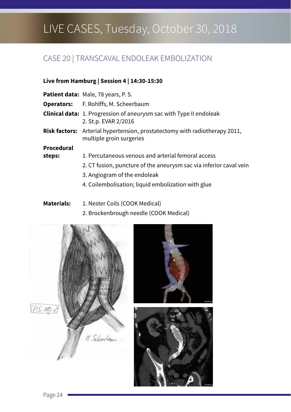# CASE 20 | TRANSCAVAL ENDOLEAK EMBOLIZATION

### **Live from Hamburg | Session 4 | 14:30-15:30**

|            | <b>Patient data: Male, 78 years, P. S.</b>                                                                    |  |  |  |  |
|------------|---------------------------------------------------------------------------------------------------------------|--|--|--|--|
|            | <b>Operators:</b> F. Rohlffs, M. Scheerbaum                                                                   |  |  |  |  |
|            | <b>Clinical data:</b> 1. Progression of aneurysm sac with Type II endoleak<br>2. St.p. EVAR 2/2016            |  |  |  |  |
|            | <b>Risk factors:</b> Arterial hypertension, prostatectomy with radiotherapy 2011,<br>multiple groin surgeries |  |  |  |  |
| Procedural |                                                                                                               |  |  |  |  |
| steps:     | 1. Percutaneous venous and arterial femoral access                                                            |  |  |  |  |
|            | 2. CT fusion, puncture of the aneurysm sac via inferior caval vein                                            |  |  |  |  |
|            | 3. Angiogram of the endoleak                                                                                  |  |  |  |  |
|            | 4. Coilembolisation; liquid embolization with glue                                                            |  |  |  |  |

**Materials:** 1. Nester Coils (COOK Medical)

#### 2. Brockenbrough needle (COOK Medical)





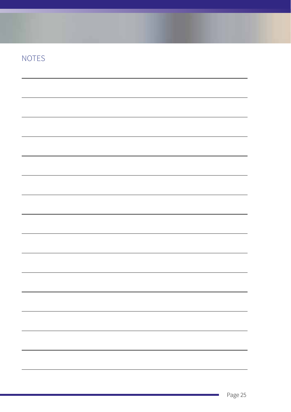|  |  | $\overline{\phantom{a}}$ |
|--|--|--------------------------|
|  |  |                          |
|  |  |                          |
|  |  |                          |
|  |  |                          |
|  |  |                          |
|  |  |                          |
|  |  |                          |
|  |  |                          |
|  |  |                          |
|  |  |                          |
|  |  |                          |
|  |  |                          |
|  |  |                          |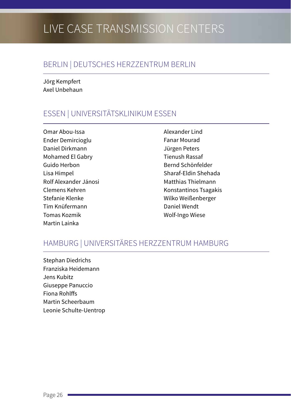# **LIVE CASE TRANSMISSION CENTERS**

### BERLIN | DEUTSCHES HERZZENTRUM BERLIN

Jörg Kempfert Axel Unbehaun

### ESSEN | UNIVERSITÄTSKLINIKUM ESSEN

Omar Abou-Issa Ender Demircioglu Daniel Dirkmann Mohamed El Gabry Guido Herbon Lisa Himpel Rolf Alexander Jánosi Clemens Kehren Stefanie Klenke Tim Knüfermann Tomas Kozmik Martin Lainka

Alexander Lind Fanar Mourad Jürgen Peters Tienush Rassaf Bernd Schönfelder Sharaf-Eldin Shehada Matthias Thielmann Konstantinos Tsagakis Wilko Weißenberger Daniel Wendt Wolf-Ingo Wiese

### HAMBURG | UNIVERSITÄRES HERZZENTRUM HAMBURG

Stephan Diedrichs Franziska Heidemann Jens Kubitz Giuseppe Panuccio Fiona Rohlffs Martin Scheerbaum Leonie Schulte-Uentrop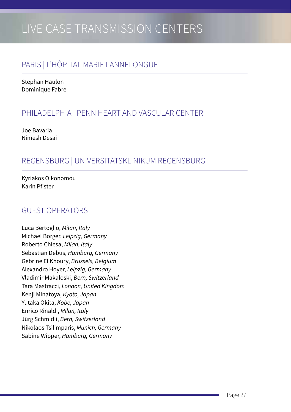# LIVE CASE TRANSMISSION CENTERS

### PARIS | L'HÔPITAL MARIE LANNELONGUE

Stephan Haulon Dominique Fabre

### PHILADELPHIA | PENN HEART AND VASCULAR CENTER

Joe Bavaria Nimesh Desai

### REGENSBURG | UNIVERSITÄTSKLINIKUM REGENSBURG

Kyriakos Oikonomou Karin Pfister

### GUEST OPERATORS

Luca Bertoglio, *Milan, Italy* Michael Borger, *Leipzig, Germany* Roberto Chiesa, *Milan, Italy* Sebastian Debus, *Hamburg, Germany* Gebrine El Khoury, *Brussels, Belgium* Alexandro Hoyer, *Leipzig, Germany* Vladimir Makaloski, *Bern, Switzerland* Tara Mastracci, *London, United Kingdom* Kenji Minatoya, *Kyoto, Japan* Yutaka Okita, *Kobe, Japan* Enrico Rinaldi, *Milan, Italy* Jürg Schmidli, *Bern, Switzerland* Nikolaos Tsilimparis, *Munich, Germany* Sabine Wipper, *Hamburg, Germany*